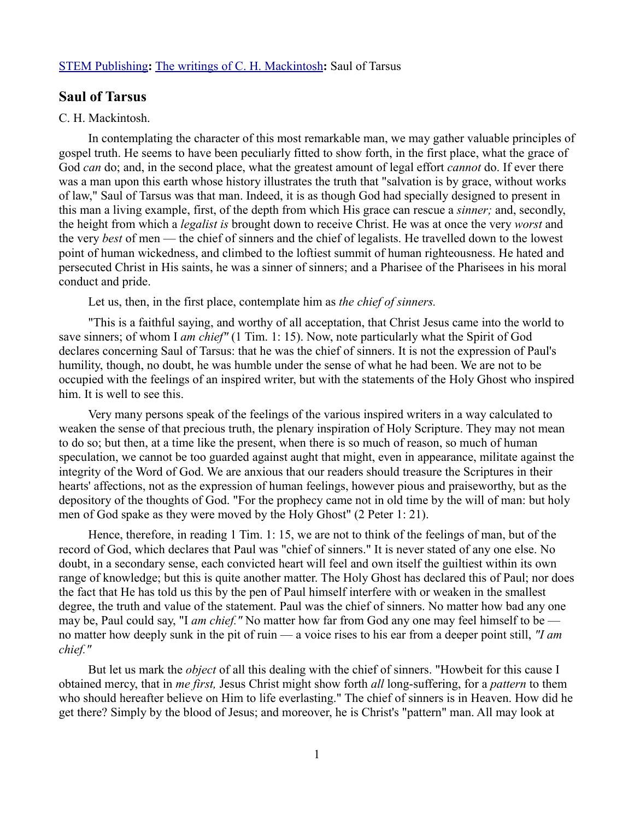## [STEM Publishing](http://www.stempublishing.com/)**:** [The writings of C. H. Mackintosh](http://www.stempublishing.com/authors/mackintosh/index.html)**:** Saul of Tarsus

## **Saul of Tarsus**

## C. H. Mackintosh.

In contemplating the character of this most remarkable man, we may gather valuable principles of gospel truth. He seems to have been peculiarly fitted to show forth, in the first place, what the grace of God *can* do; and, in the second place, what the greatest amount of legal effort *cannot* do. If ever there was a man upon this earth whose history illustrates the truth that "salvation is by grace, without works of law," Saul of Tarsus was that man. Indeed, it is as though God had specially designed to present in this man a living example, first, of the depth from which His grace can rescue a *sinner;* and, secondly, the height from which a *legalist is* brought down to receive Christ. He was at once the very *worst* and the very *best* of men — the chief of sinners and the chief of legalists. He travelled down to the lowest point of human wickedness, and climbed to the loftiest summit of human righteousness. He hated and persecuted Christ in His saints, he was a sinner of sinners; and a Pharisee of the Pharisees in his moral conduct and pride.

Let us, then, in the first place, contemplate him as *the chief of sinners.* 

"This is a faithful saying, and worthy of all acceptation, that Christ Jesus came into the world to save sinners; of whom I *am chief"* (1 Tim. 1: 15). Now, note particularly what the Spirit of God declares concerning Saul of Tarsus: that he was the chief of sinners. It is not the expression of Paul's humility, though, no doubt, he was humble under the sense of what he had been. We are not to be occupied with the feelings of an inspired writer, but with the statements of the Holy Ghost who inspired him. It is well to see this.

Very many persons speak of the feelings of the various inspired writers in a way calculated to weaken the sense of that precious truth, the plenary inspiration of Holy Scripture. They may not mean to do so; but then, at a time like the present, when there is so much of reason, so much of human speculation, we cannot be too guarded against aught that might, even in appearance, militate against the integrity of the Word of God. We are anxious that our readers should treasure the Scriptures in their hearts' affections, not as the expression of human feelings, however pious and praiseworthy, but as the depository of the thoughts of God. "For the prophecy came not in old time by the will of man: but holy men of God spake as they were moved by the Holy Ghost" (2 Peter 1: 21).

Hence, therefore, in reading 1 Tim. 1: 15, we are not to think of the feelings of man, but of the record of God, which declares that Paul was "chief of sinners." It is never stated of any one else. No doubt, in a secondary sense, each convicted heart will feel and own itself the guiltiest within its own range of knowledge; but this is quite another matter. The Holy Ghost has declared this of Paul; nor does the fact that He has told us this by the pen of Paul himself interfere with or weaken in the smallest degree, the truth and value of the statement. Paul was the chief of sinners. No matter how bad any one may be, Paul could say, "I *am chief."* No matter how far from God any one may feel himself to be no matter how deeply sunk in the pit of ruin — a voice rises to his ear from a deeper point still, *"I am chief."* 

But let us mark the *object* of all this dealing with the chief of sinners. "Howbeit for this cause I obtained mercy, that in *me first,* Jesus Christ might show forth *all* long-suffering, for a *pattern* to them who should hereafter believe on Him to life everlasting." The chief of sinners is in Heaven. How did he get there? Simply by the blood of Jesus; and moreover, he is Christ's "pattern" man. All may look at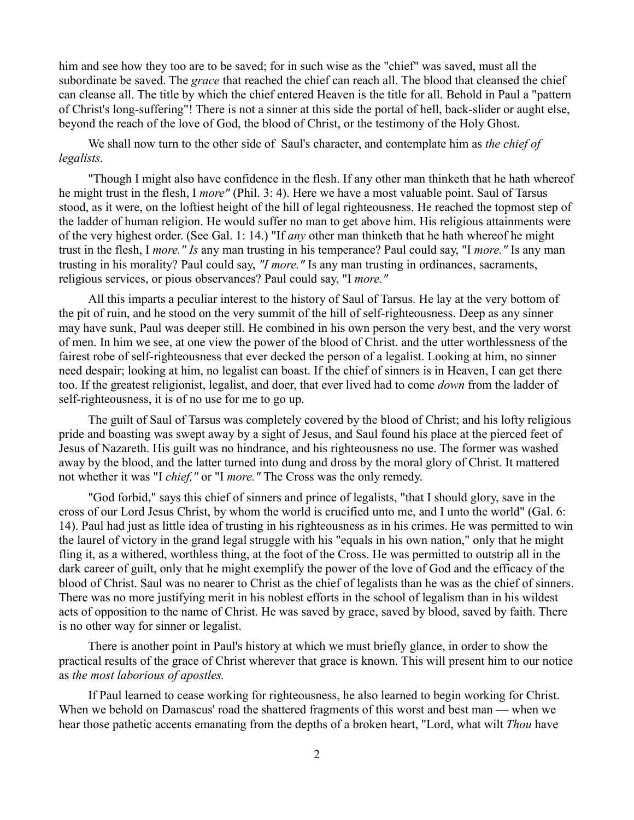him and see how they too are to be saved; for in such wise as the "chief" was saved, must all the subordinate be saved. The *grace* that reached the chief can reach all. The blood that cleansed the chief can cleanse all. The title by which the chief entered Heaven is the title for all. Behold in Paul a "pattern of Christ's long-suffering"! There is not a sinner at this side the portal of hell, back-slider or aught else, beyond the reach of the love of God, the blood of Christ, or the testimony of the Holy Ghost.

We shall now turn to the other side of Saul's character, and contemplate him as *the chief of legalists.*

"Though I might also have confidence in the flesh. If any other man thinketh that he hath whereof he might trust in the flesh, I *more"* (Phil. 3: 4). Here we have a most valuable point. Saul of Tarsus stood, as it were, on the loftiest height of the hill of legal righteousness. He reached the topmost step of the ladder of human religion. He would suffer no man to get above him. His religious attainments were of the very highest order. (See Gal. 1: 14.) "If *any* other man thinketh that he hath whereof he might trust in the flesh, I *more." Is* any man trusting in his temperance? Paul could say, "I *more."* Is any man trusting in his morality? Paul could say, *"I more."* Is any man trusting in ordinances, sacraments, religious services, or pious observances? Paul could say, "I *more."*

All this imparts a peculiar interest to the history of Saul of Tarsus. He lay at the very bottom of the pit of ruin, and he stood on the very summit of the hill of self-righteousness. Deep as any sinner may have sunk, Paul was deeper still. He combined in his own person the very best, and the very worst of men. In him we see, at one view the power of the blood of Christ. and the utter worthlessness of the fairest robe of self-righteousness that ever decked the person of a legalist. Looking at him, no sinner need despair; looking at him, no legalist can boast. If the chief of sinners is in Heaven, I can get there too. If the greatest religionist, legalist, and doer, that ever lived had to come *down* from the ladder of self-righteousness, it is of no use for me to go up.

The guilt of Saul of Tarsus was completely covered by the blood of Christ; and his lofty religious pride and boasting was swept away by a sight of Jesus, and Saul found his place at the pierced feet of Jesus of Nazareth. His guilt was no hindrance, and his righteousness no use. The former was washed away by the blood, and the latter turned into dung and dross by the moral glory of Christ. It mattered not whether it was "I *chief,"* or "I *more."* The Cross was the only remedy.

"God forbid," says this chief of sinners and prince of legalists, "that I should glory, save in the cross of our Lord Jesus Christ, by whom the world is crucified unto me, and I unto the world" (Gal. 6: 14). Paul had just as little idea of trusting in his righteousness as in his crimes. He was permitted to win the laurel of victory in the grand legal struggle with his "equals in his own nation," only that he might fling it, as a withered, worthless thing, at the foot of the Cross. He was permitted to outstrip all in the dark career of guilt, only that he might exemplify the power of the love of God and the efficacy of the blood of Christ. Saul was no nearer to Christ as the chief of legalists than he was as the chief of sinners. There was no more justifying merit in his noblest efforts in the school of legalism than in his wildest acts of opposition to the name of Christ. He was saved by grace, saved by blood, saved by faith. There is no other way for sinner or legalist.

There is another point in Paul's history at which we must briefly glance, in order to show the practical results of the grace of Christ wherever that grace is known. This will present him to our notice as *the most laborious of apostles.* 

If Paul learned to cease working for righteousness, he also learned to begin working for Christ. When we behold on Damascus' road the shattered fragments of this worst and best man — when we hear those pathetic accents emanating from the depths of a broken heart, "Lord, what wilt *Thou* have